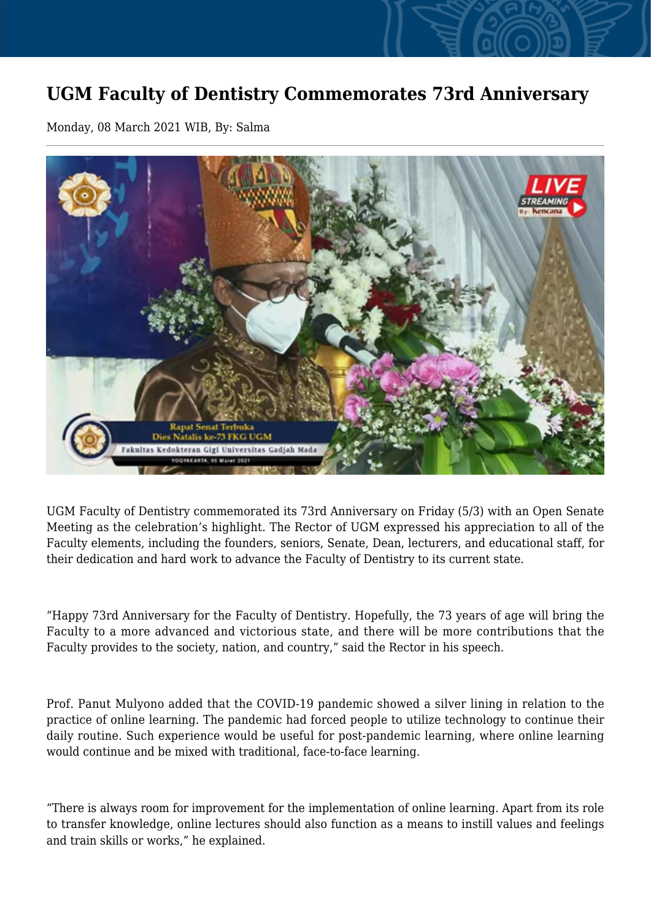## **UGM Faculty of Dentistry Commemorates 73rd Anniversary**

Monday, 08 March 2021 WIB, By: Salma



UGM Faculty of Dentistry commemorated its 73rd Anniversary on Friday (5/3) with an Open Senate Meeting as the celebration's highlight. The Rector of UGM expressed his appreciation to all of the Faculty elements, including the founders, seniors, Senate, Dean, lecturers, and educational staff, for their dedication and hard work to advance the Faculty of Dentistry to its current state.

"Happy 73rd Anniversary for the Faculty of Dentistry. Hopefully, the 73 years of age will bring the Faculty to a more advanced and victorious state, and there will be more contributions that the Faculty provides to the society, nation, and country," said the Rector in his speech.

Prof. Panut Mulyono added that the COVID-19 pandemic showed a silver lining in relation to the practice of online learning. The pandemic had forced people to utilize technology to continue their daily routine. Such experience would be useful for post-pandemic learning, where online learning would continue and be mixed with traditional, face-to-face learning.

"There is always room for improvement for the implementation of online learning. Apart from its role to transfer knowledge, online lectures should also function as a means to instill values and feelings and train skills or works," he explained.